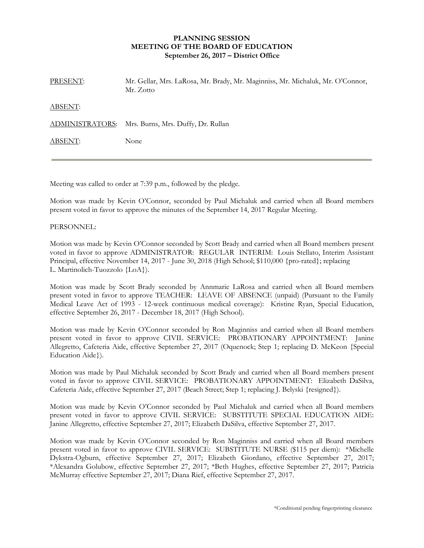## **PLANNING SESSION MEETING OF THE BOARD OF EDUCATION September 26, 2017 – District Office**

| PRESENT: | Mr. Gellar, Mrs. LaRosa, Mr. Brady, Mr. Maginniss, Mr. Michaluk, Mr. O'Connor,<br>Mr. Zotto |
|----------|---------------------------------------------------------------------------------------------|
| ABSENT:  |                                                                                             |
|          | ADMINISTRATORS: Mrs. Burns, Mrs. Duffy, Dr. Rullan                                          |
| ABSENT:  | None                                                                                        |

Meeting was called to order at 7:39 p.m., followed by the pledge.

Motion was made by Kevin O'Connor, seconded by Paul Michaluk and carried when all Board members present voted in favor to approve the minutes of the September 14, 2017 Regular Meeting.

## PERSONNEL:

Motion was made by Kevin O'Connor seconded by Scott Brady and carried when all Board members present voted in favor to approve ADMINISTRATOR: REGULAR INTERIM: Louis Stellato, Interim Assistant Principal, effective November 14, 2017 - June 30, 2018 (High School; \$110,000 {pro-rated}; replacing L. Martinolich-Tuozzolo {LoA}).

Motion was made by Scott Brady seconded by Annmarie LaRosa and carried when all Board members present voted in favor to approve TEACHER: LEAVE OF ABSENCE (unpaid) (Pursuant to the Family Medical Leave Act of 1993 - 12-week continuous medical coverage): Kristine Ryan, Special Education, effective September 26, 2017 - December 18, 2017 (High School).

Motion was made by Kevin O'Connor seconded by Ron Maginniss and carried when all Board members present voted in favor to approve CIVIL SERVICE: PROBATIONARY APPOINTMENT: Janine Allegretto, Cafeteria Aide, effective September 27, 2017 (Oquenock; Step 1; replacing D. McKeon {Special Education Aide}).

Motion was made by Paul Michaluk seconded by Scott Brady and carried when all Board members present voted in favor to approve CIVIL SERVICE: PROBATIONARY APPOINTMENT: Elizabeth DaSilva, Cafeteria Aide, effective September 27, 2017 (Beach Street; Step 1; replacing J. Belyski {resigned}).

Motion was made by Kevin O'Connor seconded by Paul Michaluk and carried when all Board members present voted in favor to approve CIVIL SERVICE: SUBSTITUTE SPECIAL EDUCATION AIDE: Janine Allegretto, effective September 27, 2017; Elizabeth DaSilva, effective September 27, 2017.

Motion was made by Kevin O'Connor seconded by Ron Maginniss and carried when all Board members present voted in favor to approve CIVIL SERVICE: SUBSTITUTE NURSE (\$115 per diem): \*Michelle Dykstra-Ogburn, effective September 27, 2017; Elizabeth Giordano, effective September 27, 2017; \*Alexandra Golubow, effective September 27, 2017; \*Beth Hughes, effective September 27, 2017; Patricia McMurray effective September 27, 2017; Diana Rief, effective September 27, 2017.